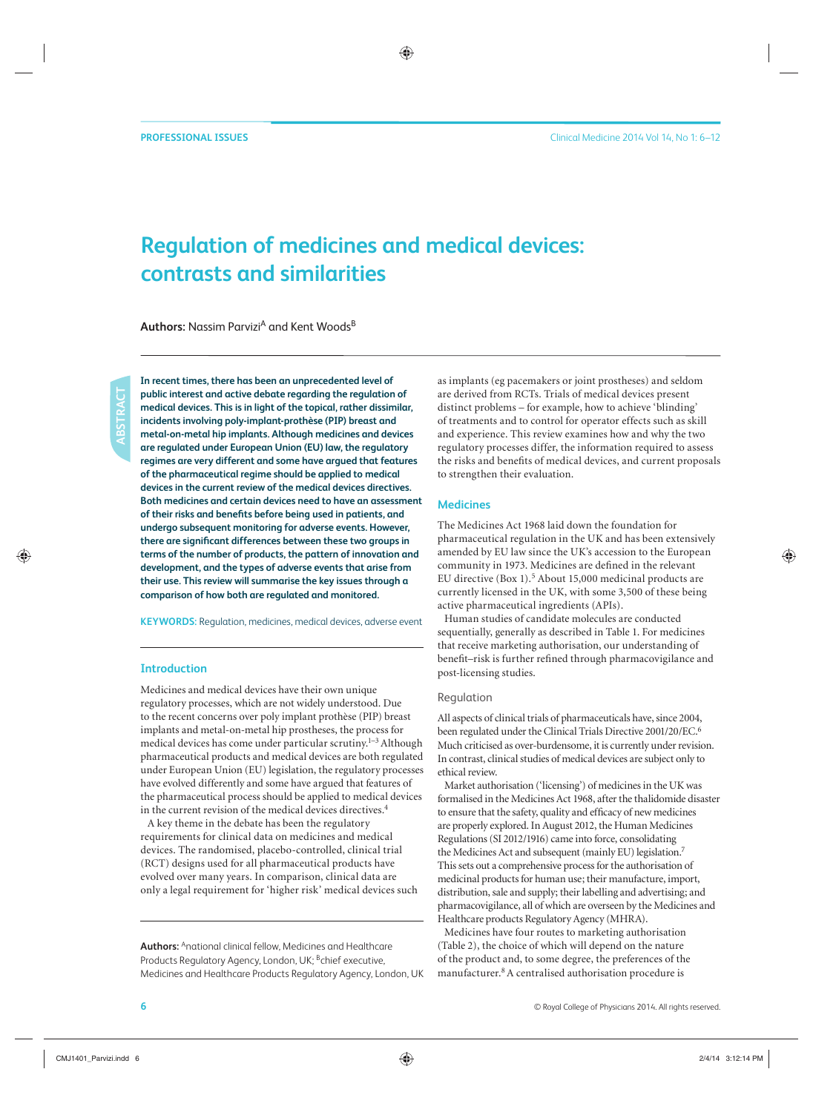# **Regulation of medicines and medical devices: contrasts and similarities**

**Authors: Nassim Parvizi<sup>A</sup> and Kent Woods<sup>B</sup>** 

**In recent times, there has been an unprecedented level of public interest and active debate regarding the regulation of medical devices. This is in light of the topical, rather dissimilar, incidents involving poly-implant-prothèse (PIP) breast and metal-on-metal hip implants. Although medicines and devices are regulated under European Union (EU) law, the regulatory regimes are very different and some have argued that features of the pharmaceutical regime should be applied to medical devices in the current review of the medical devices directives. Both medicines and certain devices need to have an assessment**  of their risks and benefits before being used in patients, and **undergo subsequent monitoring for adverse events. However,**  there are significant differences between these two groups in **terms of the number of products, the pattern of innovation and development, and the types of adverse events that arise from their use. This review will summarise the key issues through a comparison of how both are regulated and monitored.**

**KEYWORDS:** Regulation, medicines, medical devices, adverse event

# **Introduction**

Medicines and medical devices have their own unique regulatory processes, which are not widely understood. Due to the recent concerns over poly implant prothèse (PIP) breast implants and metal-on-metal hip prostheses, the process for medical devices has come under particular scrutiny.<sup>1-3</sup> Although pharmaceutical products and medical devices are both regulated under European Union (EU) legislation, the regulatory processes have evolved differently and some have argued that features of the pharmaceutical process should be applied to medical devices in the current revision of the medical devices directives.<sup>4</sup>

A key theme in the debate has been the regulatory requirements for clinical data on medicines and medical devices. The randomised, placebo-controlled, clinical trial (RCT) designs used for all pharmaceutical products have evolved over many years. In comparison, clinical data are only a legal requirement for 'higher risk' medical devices such

**Authors:** Anational clinical fellow, Medicines and Healthcare Products Regulatory Agency, London, UK; <sup>B</sup>chief executive, Medicines and Healthcare Products Regulatory Agency, London, UK as implants (eg pacemakers or joint prostheses) and seldom are derived from RCTs. Trials of medical devices present distinct problems – for example, how to achieve 'blinding' of treatments and to control for operator effects such as skill and experience. This review examines how and why the two regulatory processes differ, the information required to assess the risks and benefits of medical devices, and current proposals to strengthen their evaluation.

### **Medicines**

The Medicines Act 1968 laid down the foundation for pharmaceutical regulation in the UK and has been extensively amended by EU law since the UK's accession to the European community in 1973. Medicines are defined in the relevant EU directive (Box 1).<sup>5</sup> About 15,000 medicinal products are currently licensed in the UK, with some 3,500 of these being active pharmaceutical ingredients (APIs).

Human studies of candidate molecules are conducted sequentially, generally as described in Table 1. For medicines that receive marketing authorisation, our understanding of benefit–risk is further refined through pharmacovigilance and post-licensing studies.

### Regulation

All aspects of clinical trials of pharmaceuticals have, since 2004, been regulated under the Clinical Trials Directive 2001/20/EC.<sup>6</sup> Much criticised as over-burdensome, it is currently under revision. In contrast, clinical studies of medical devices are subject only to ethical review.

Market authorisation ('licensing') of medicines in the UK was formalised in the Medicines Act 1968, after the thalidomide disaster to ensure that the safety, quality and efficacy of new medicines are properly explored. In August 2012, the Human Medicines Regulations (SI 2012/1916) came into force, consolidating the Medicines Act and subsequent (mainly EU) legislation.7 This sets out a comprehensive process for the authorisation of medicinal products for human use; their manufacture, import, distribution, sale and supply; their labelling and advertising; and pharmacovigilance, all of which are overseen by the Medicines and Healthcare products Regulatory Agency (MHRA).

Medicines have four routes to marketing authorisation (Table 2), the choice of which will depend on the nature of the product and, to some degree, the preferences of the manufacturer.8 A centralised authorisation procedure is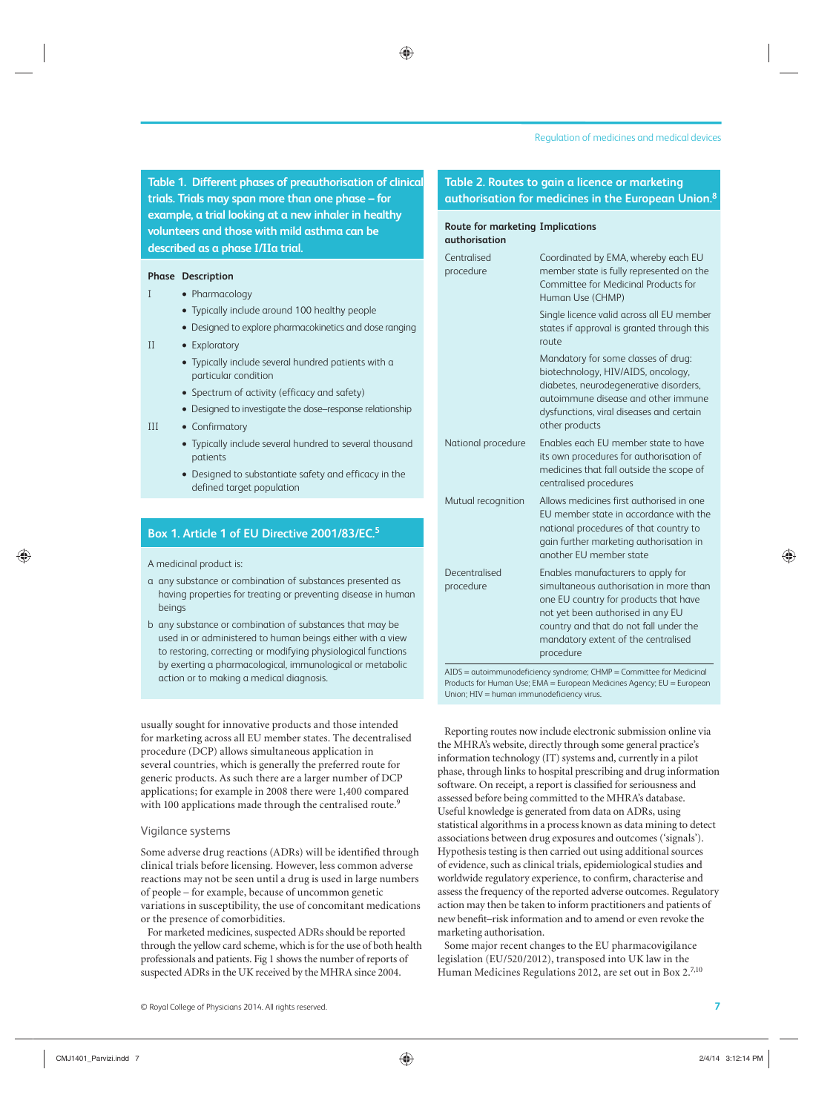**Table 1. Different phases of preauthorisation of clinical trials. Trials may span more than one phase – for example, a trial looking at a new inhaler in healthy volunteers and those with mild asthma can be described as a phase I/IIa trial.**

# **Phase Description**

- I Pharmacology
	- Typically include around 100 healthy people
	- Designed to explore pharmacokinetics and dose ranging
- II Exploratory
	- Typically include several hundred patients with a particular condition
	- Spectrum of activity (efficacy and safety)
	- Designed to investigate the dose–response relationship
- III Confirmatory
	- Typically include several hundred to several thousand patients
	- Designed to substantiate safety and efficacy in the defined target population

# **Box 1. Article 1 of EU Directive 2001/83/EC.5**

A medicinal product is:

- a any substance or combination of substances presented as having properties for treating or preventing disease in human beings
- b any substance or combination of substances that may be used in or administered to human beings either with a view to restoring, correcting or modifying physiological functions by exerting a pharmacological, immunological or metabolic action or to making a medical diagnosis.

usually sought for innovative products and those intended for marketing across all EU member states. The decentralised procedure (DCP) allows simultaneous application in several countries, which is generally the preferred route for generic products. As such there are a larger number of DCP applications; for example in 2008 there were 1,400 compared with 100 applications made through the centralised route.<sup>9</sup>

# Vigilance systems

Some adverse drug reactions (ADRs) will be identified through clinical trials before licensing. However, less common adverse reactions may not be seen until a drug is used in large numbers of people – for example, because of uncommon genetic variations in susceptibility, the use of concomitant medications or the presence of comorbidities.

For marketed medicines, suspected ADRs should be reported through the yellow card scheme, which is for the use of both health professionals and patients. Fig 1 shows the number of reports of suspected ADRs in the UK received by the MHRA since 2004.

# **Table 2. Routes to gain a licence or marketing authorisation for medicines in the European Union.8**

#### **Route for marketing Implications authorisation**

| Centralised<br>procedure   | Coordinated by EMA, whereby each EU<br>member state is fully represented on the<br>Committee for Medicinal Products for<br>Human Use (CHMP)                                                                                                               |
|----------------------------|-----------------------------------------------------------------------------------------------------------------------------------------------------------------------------------------------------------------------------------------------------------|
|                            | Single licence valid across all EU member<br>states if approval is granted through this<br>route                                                                                                                                                          |
|                            | Mandatory for some classes of drug:<br>biotechnology, HIV/AIDS, oncology,<br>diabetes, neurodegenerative disorders,<br>autoimmune disease and other immune<br>dysfunctions, viral diseases and certain<br>other products                                  |
| National procedure         | Enables each EU member state to have<br>its own procedures for authorisation of<br>medicines that fall outside the scope of<br>centralised procedures                                                                                                     |
| Mutual recognition         | Allows medicines first authorised in one<br>EU member state in accordance with the<br>national procedures of that country to<br>gain further marketing authorisation in<br>another EU member state                                                        |
| Decentralised<br>procedure | Enables manufacturers to apply for<br>simultaneous authorisation in more than<br>one EU country for products that have<br>not yet been authorised in any EU<br>country and that do not fall under the<br>mandatory extent of the centralised<br>procedure |

AIDS = autoimmunodeficiency syndrome; CHMP = Committee for Medicinal Products for Human Use; EMA = European Medicines Agency; EU = European Union; HIV = human immunodeficiency virus.

Reporting routes now include electronic submission online via the MHRA's website, directly through some general practice's information technology (IT) systems and, currently in a pilot phase, through links to hospital prescribing and drug information software. On receipt, a report is classified for seriousness and assessed before being committed to the MHRA's database. Useful knowledge is generated from data on ADRs, using statistical algorithms in a process known as data mining to detect associations between drug exposures and outcomes ('signals'). Hypothesis testing is then carried out using additional sources of evidence, such as clinical trials, epidemiological studies and worldwide regulatory experience, to confirm, characterise and assess the frequency of the reported adverse outcomes. Regulatory action may then be taken to inform practitioners and patients of new benefit–risk information and to amend or even revoke the marketing authorisation.

Some major recent changes to the EU pharmacovigilance legislation (EU/520/2012), transposed into UK law in the Human Medicines Regulations 2012, are set out in Box 2.7,10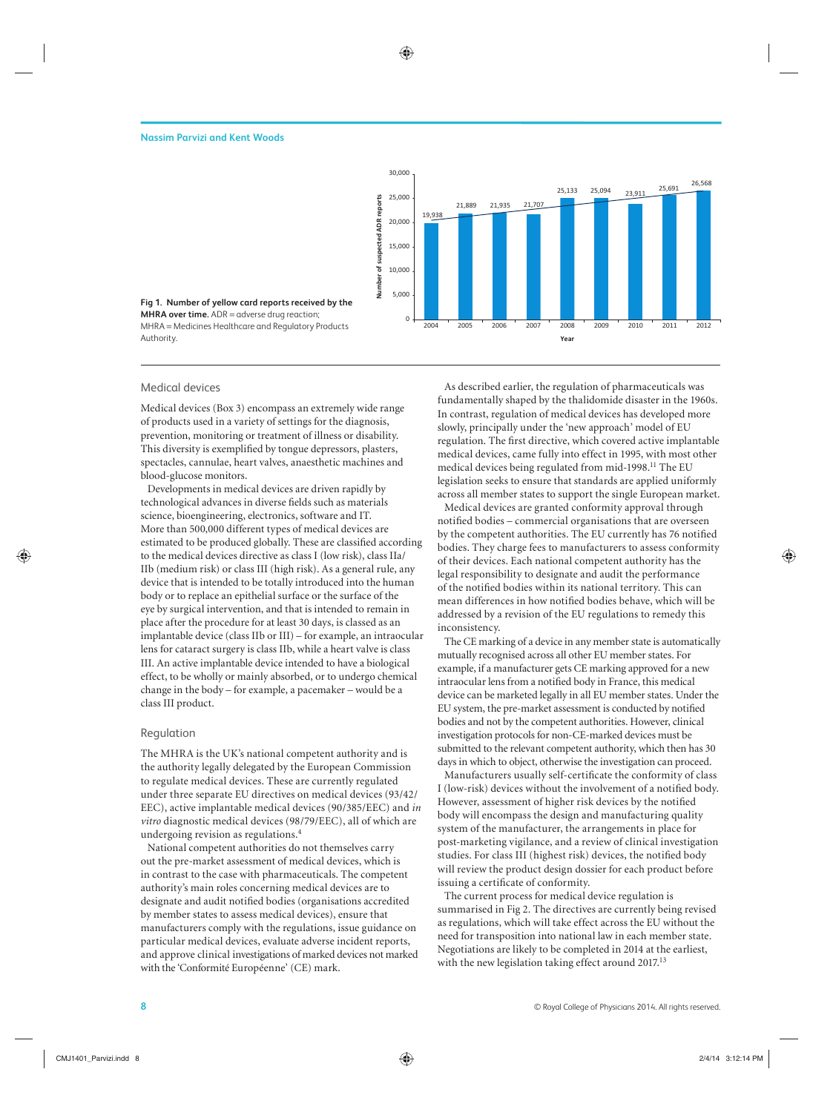#### **Nassim Parvizi and Kent Woods**



**Fig 1. Number of yellow card reports received by the MHRA over time.** ADR = adverse drug reaction; MHRA = Medicines Healthcare and Regulatory Products Authority.

## Medical devices

Medical devices (Box 3) encompass an extremely wide range of products used in a variety of settings for the diagnosis, prevention, monitoring or treatment of illness or disability. This diversity is exemplified by tongue depressors, plasters, spectacles, cannulae, heart valves, anaesthetic machines and blood-glucose monitors.

Developments in medical devices are driven rapidly by technological advances in diverse fields such as materials science, bioengineering, electronics, software and IT. More than 500,000 different types of medical devices are estimated to be produced globally. These are classified according to the medical devices directive as class I (low risk), class IIa/ IIb (medium risk) or class III (high risk). As a general rule, any device that is intended to be totally introduced into the human body or to replace an epithelial surface or the surface of the eye by surgical intervention, and that is intended to remain in place after the procedure for at least 30 days, is classed as an implantable device (class IIb or III) – for example, an intraocular lens for cataract surgery is class IIb, while a heart valve is class III. An active implantable device intended to have a biological effect, to be wholly or mainly absorbed, or to undergo chemical change in the body – for example, a pacemaker – would be a class III product.

#### Regulation

The MHRA is the UK's national competent authority and is the authority legally delegated by the European Commission to regulate medical devices. These are currently regulated under three separate EU directives on medical devices (93/42/ EEC), active implantable medical devices (90/385/EEC) and *in vitro* diagnostic medical devices (98/79/EEC), all of which are undergoing revision as regulations.4

National competent authorities do not themselves carry out the pre-market assessment of medical devices, which is in contrast to the case with pharmaceuticals. The competent authority's main roles concerning medical devices are to designate and audit notified bodies (organisations accredited by member states to assess medical devices), ensure that manufacturers comply with the regulations, issue guidance on particular medical devices, evaluate adverse incident reports, and approve clinical investigations of marked devices not marked with the 'Conformité Européenne' (CE) mark.

As described earlier, the regulation of pharmaceuticals was fundamentally shaped by the thalidomide disaster in the 1960s. In contrast, regulation of medical devices has developed more slowly, principally under the 'new approach' model of EU regulation. The first directive, which covered active implantable medical devices, came fully into effect in 1995, with most other medical devices being regulated from mid-1998.11 The EU legislation seeks to ensure that standards are applied uniformly across all member states to support the single European market.

Medical devices are granted conformity approval through notified bodies – commercial organisations that are overseen by the competent authorities. The EU currently has 76 notified bodies. They charge fees to manufacturers to assess conformity of their devices. Each national competent authority has the legal responsibility to designate and audit the performance of the notified bodies within its national territory. This can mean differences in how notified bodies behave, which will be addressed by a revision of the EU regulations to remedy this inconsistency.

The CE marking of a device in any member state is automatically mutually recognised across all other EU member states. For example, if a manufacturer gets CE marking approved for a new intraocular lens from a notified body in France, this medical device can be marketed legally in all EU member states. Under the EU system, the pre-market assessment is conducted by notified bodies and not by the competent authorities. However, clinical investigation protocols for non-CE-marked devices must be submitted to the relevant competent authority, which then has 30 days in which to object, otherwise the investigation can proceed.

Manufacturers usually self-certificate the conformity of class I (low-risk) devices without the involvement of a notified body. However, assessment of higher risk devices by the notified body will encompass the design and manufacturing quality system of the manufacturer, the arrangements in place for post-marketing vigilance, and a review of clinical investigation studies. For class III (highest risk) devices, the notified body will review the product design dossier for each product before issuing a certificate of conformity.

The current process for medical device regulation is summarised in Fig 2. The directives are currently being revised as regulations, which will take effect across the EU without the need for transposition into national law in each member state. Negotiations are likely to be completed in 2014 at the earliest, with the new legislation taking effect around 2017.<sup>13</sup>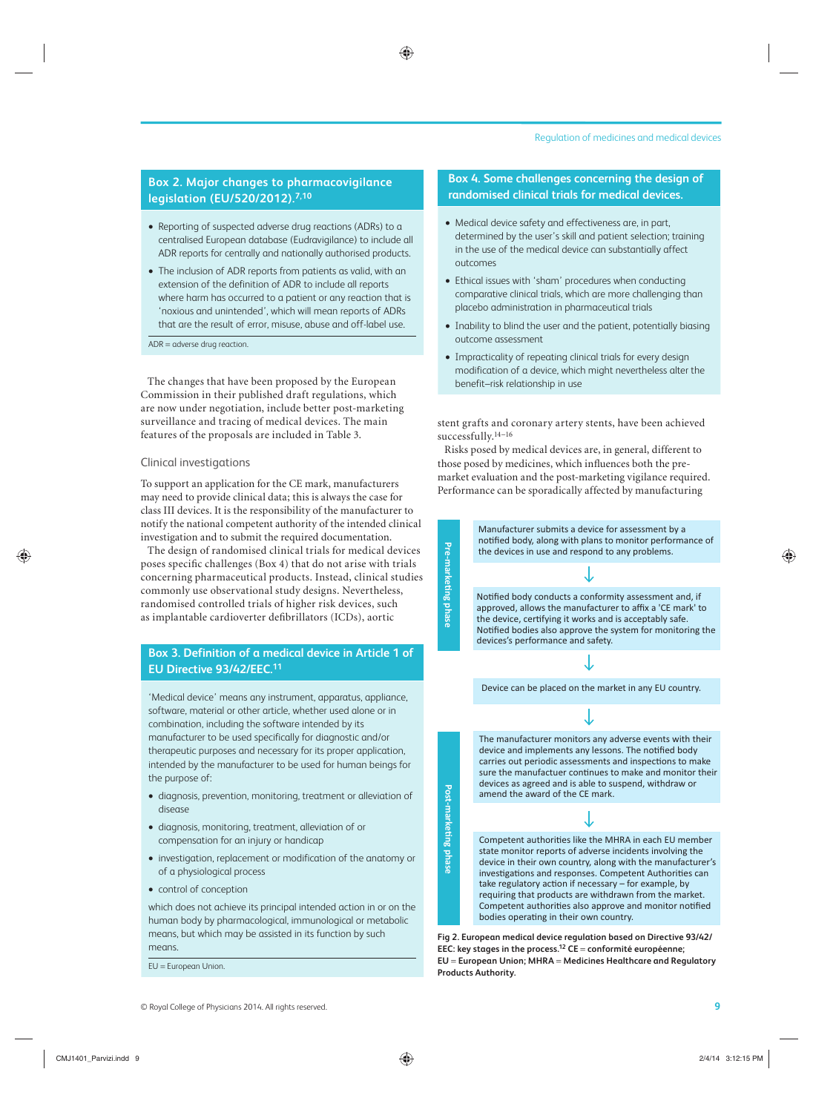# **Box 2. Major changes to pharmacovigilance legislation (EU/520/2012).7,10**

- Reporting of suspected adverse drug reactions (ADRs) to a centralised European database (Eudravigilance) to include all ADR reports for centrally and nationally authorised products.
- The inclusion of ADR reports from patients as valid, with an extension of the definition of ADR to include all reports where harm has occurred to a patient or any reaction that is 'noxious and unintended', which will mean reports of ADRs that are the result of error, misuse, abuse and off-label use.

ADR = adverse drug reaction.

The changes that have been proposed by the European Commission in their published draft regulations, which are now under negotiation, include better post-marketing surveillance and tracing of medical devices. The main features of the proposals are included in Table 3.

# Clinical investigations

To support an application for the CE mark, manufacturers may need to provide clinical data; this is always the case for class III devices. It is the responsibility of the manufacturer to notify the national competent authority of the intended clinical investigation and to submit the required documentation.

The design of randomised clinical trials for medical devices poses specific challenges (Box 4) that do not arise with trials concerning pharmaceutical products. Instead, clinical studies commonly use observational study designs. Nevertheless, randomised controlled trials of higher risk devices, such as implantable cardioverter defibrillators (ICDs), aortic

# **Box 3. Definition of a medical device in Article 1 of EU Directive 93/42/EEC.11**

'Medical device' means any instrument, apparatus, appliance, software, material or other article, whether used alone or in combination, including the software intended by its manufacturer to be used specifically for diagnostic and/or therapeutic purposes and necessary for its proper application, intended by the manufacturer to be used for human beings for the purpose of:

- diagnosis, prevention, monitoring, treatment or alleviation of disease
- diagnosis, monitoring, treatment, alleviation of or compensation for an injury or handicap
- investigation, replacement or modification of the anatomy or of a physiological process
- control of conception

which does not achieve its principal intended action in or on the human body by pharmacological, immunological or metabolic means, but which may be assisted in its function by such means.

EU = European Union.

# **Box 4. Some challenges concerning the design of randomised clinical trials for medical devices.**

- Medical device safety and effectiveness are, in part, determined by the user's skill and patient selection; training in the use of the medical device can substantially affect outcomes
- Ethical issues with 'sham' procedures when conducting comparative clinical trials, which are more challenging than placebo administration in pharmaceutical trials
- Inability to blind the user and the patient, potentially biasing outcome assessment
- Impracticality of repeating clinical trials for every design modification of a device, which might nevertheless alter the benefit–risk relationship in use

stent grafts and coronary artery stents, have been achieved successfully.<sup>14-16</sup>

Risks posed by medical devices are, in general, different to those posed by medicines, which influences both the premarket evaluation and the post-marketing vigilance required. Performance can be sporadically affected by manufacturing

Pre-marketi **Pre-marketing phase** 

Post-marketi **Post-marketing phase**  Manufacturer submits a device for assessment by a notified body, along with plans to monitor performance of the devices in use and respond to any problems.

Notified body conducts a conformity assessment and, if approved, allows the manufacturer to affix a 'CE mark' to the device, certifying it works and is acceptably safe. Notified bodies also approve the system for monitoring the devices's performance and safety.

Device can be placed on the market in any EU country.

The manufacturer monitors any adverse events with their device and implements any lessons. The notified body carries out periodic assessments and inspections to make sure the manufactuer continues to make and monitor their devices as agreed and is able to suspend, withdraw or amend the award of the CE mark.

Competent authorities like the MHRA in each EU member state monitor reports of adverse incidents involving the device in their own country, along with the manufacturer's investigations and responses. Competent Authorities can take regulatory action if necessary - for example, by requiring that products are withdrawn from the market. Competent authorities also approve and monitor notified bodies operating in their own country.

**Fig 2. European medical device regulation based on Directive 93/42/ EEC: key stages in the process.12 CE** = **conformité européenne; EU** = **European Union; MHRA** = **Medicines Healthcare and Regulatory Products Authority.**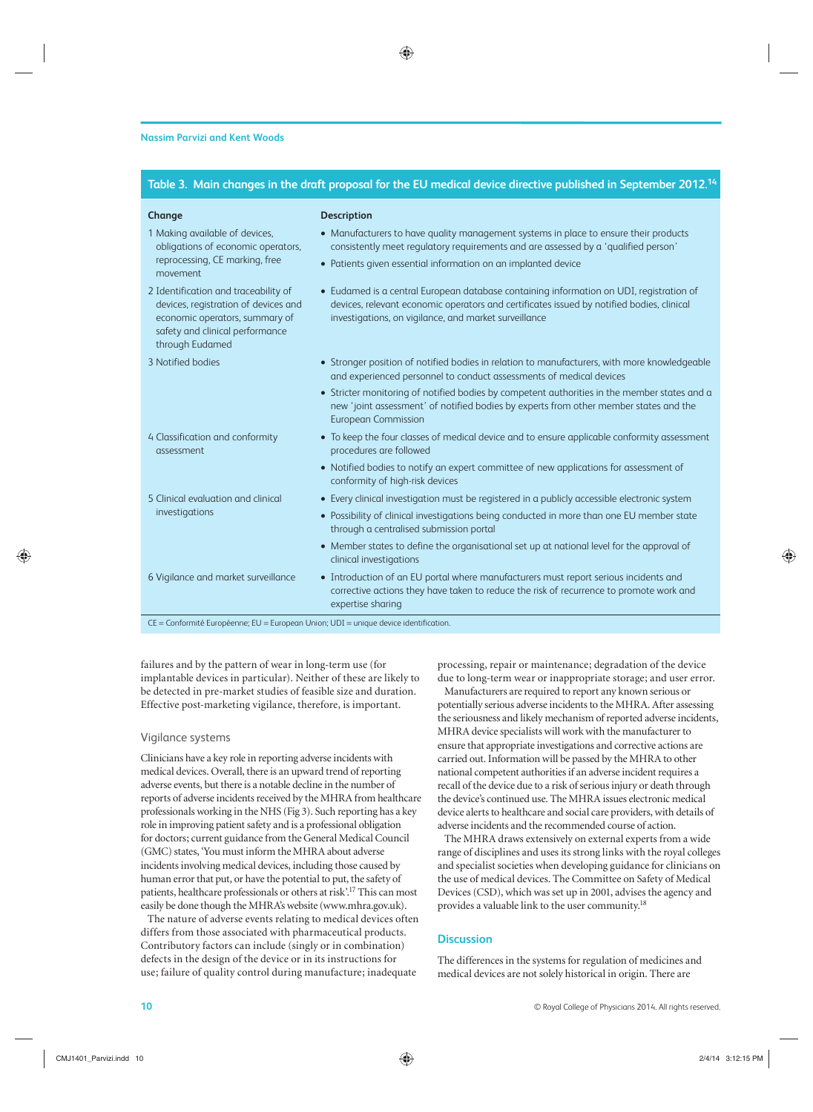1 Making available of devices, obligations of economic operators, reprocessing, CE marking, free

# **Table 3. Main changes in the draft proposal for the EU medical device directive published in September 2012.14**

#### **Change Description**

- Manufacturers to have quality management systems in place to ensure their products consistently meet regulatory requirements and are assessed by a 'qualified person'
- Patients given essential information on an implanted device
- movement 2 Identification and traceability of devices, registration of devices and economic operators, summary of safety and clinical performance through Eudamed • Eudamed is a central European database containing information on UDI, registration of devices, relevant economic operators and certificates issued by notified bodies, clinical investigations, on vigilance, and market surveillance 3 Notified bodies • Stronger position of notified bodies in relation to manufacturers, with more knowledgeable and experienced personnel to conduct assessments of medical devices • Stricter monitoring of notified bodies by competent authorities in the member states and a new 'joint assessment' of notified bodies by experts from other member states and the European Commission 4 Classification and conformity assessment • To keep the four classes of medical device and to ensure applicable conformity assessment procedures are followed • Notified bodies to notify an expert committee of new applications for assessment of conformity of high-risk devices 5 Clinical evaluation and clinical investigations • Every clinical investigation must be registered in a publicly accessible electronic system • Possibility of clinical investigations being conducted in more than one EU member state through a centralised submission portal • Member states to define the organisational set up at national level for the approval of clinical investigations 6 Vigilance and market surveillance • Introduction of an EU portal where manufacturers must report serious incidents and corrective actions they have taken to reduce the risk of recurrence to promote work and expertise sharing CE = Conformité Européenne; EU = European Union; UDI = unique device identification.

failures and by the pattern of wear in long-term use (for implantable devices in particular). Neither of these are likely to be detected in pre-market studies of feasible size and duration. Effective post-marketing vigilance, therefore, is important.

#### Vigilance systems

Clinicians have a key role in reporting adverse incidents with medical devices. Overall, there is an upward trend of reporting adverse events, but there is a notable decline in the number of reports of adverse incidents received by the MHRA from healthcare professionals working in the NHS (Fig 3). Such reporting has a key role in improving patient safety and is a professional obligation for doctors; current guidance from the General Medical Council (GMC) states, 'You must inform the MHRA about adverse incidents involving medical devices, including those caused by human error that put, or have the potential to put, the safety of patients, healthcare professionals or others at risk'.17 This can most easily be done though the MHRA's website (www.mhra.gov.uk).

The nature of adverse events relating to medical devices often differs from those associated with pharmaceutical products. Contributory factors can include (singly or in combination) defects in the design of the device or in its instructions for use; failure of quality control during manufacture; inadequate

processing, repair or maintenance; degradation of the device due to long-term wear or inappropriate storage; and user error.

Manufacturers are required to report any known serious or potentially serious adverse incidents to the MHRA. After assessing the seriousness and likely mechanism of reported adverse incidents, MHRA device specialists will work with the manufacturer to ensure that appropriate investigations and corrective actions are carried out. Information will be passed by the MHRA to other national competent authorities if an adverse incident requires a recall of the device due to a risk of serious injury or death through the device's continued use. The MHRA issues electronic medical device alerts to healthcare and social care providers, with details of adverse incidents and the recommended course of action.

The MHRA draws extensively on external experts from a wide range of disciplines and uses its strong links with the royal colleges and specialist societies when developing guidance for clinicians on the use of medical devices. The Committee on Safety of Medical Devices (CSD), which was set up in 2001, advises the agency and provides a valuable link to the user community.18

### **Discussion**

The differences in the systems for regulation of medicines and medical devices are not solely historical in origin. There are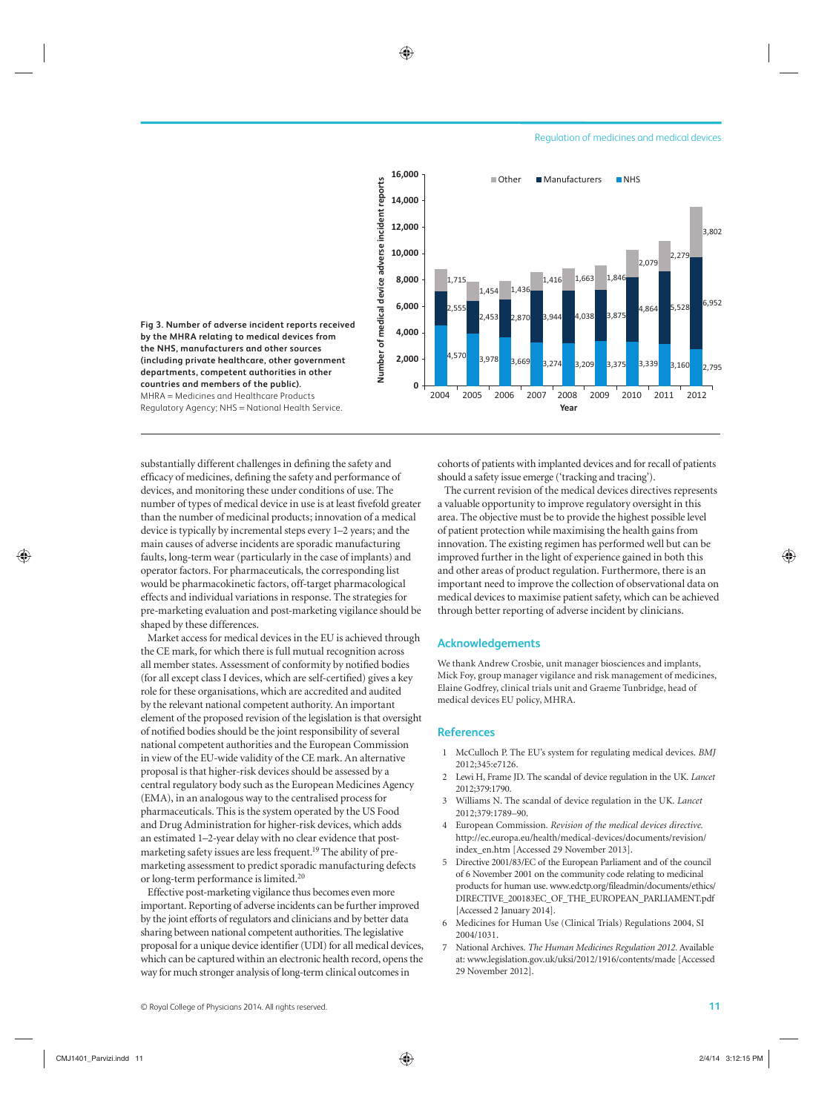Regulation of medicines and medical devices



**by the MHRA relating to medical devices from the NHS, manufacturers and other sources (including private healthcare, other government departments, competent authorities in other countries and members of the public).**  MHRA = Medicines and Healthcare Products Regulatory Agency; NHS = National Health Service.

substantially different challenges in defining the safety and efficacy of medicines, defining the safety and performance of devices, and monitoring these under conditions of use. The number of types of medical device in use is at least fivefold greater than the number of medicinal products; innovation of a medical device is typically by incremental steps every 1–2 years; and the main causes of adverse incidents are sporadic manufacturing faults, long-term wear (particularly in the case of implants) and operator factors. For pharmaceuticals, the corresponding list would be pharmacokinetic factors, off-target pharmacological effects and individual variations in response. The strategies for pre-marketing evaluation and post-marketing vigilance should be shaped by these differences.

Market access for medical devices in the EU is achieved through the CE mark, for which there is full mutual recognition across all member states. Assessment of conformity by notified bodies (for all except class I devices, which are self-certified) gives a key role for these organisations, which are accredited and audited by the relevant national competent authority. An important element of the proposed revision of the legislation is that oversight of notified bodies should be the joint responsibility of several national competent authorities and the European Commission in view of the EU-wide validity of the CE mark. An alternative proposal is that higher-risk devices should be assessed by a central regulatory body such as the European Medicines Agency (EMA), in an analogous way to the centralised process for pharmaceuticals. This is the system operated by the US Food and Drug Administration for higher-risk devices, which adds an estimated 1–2-year delay with no clear evidence that postmarketing safety issues are less frequent.<sup>19</sup> The ability of premarketing assessment to predict sporadic manufacturing defects or long-term performance is limited.20

Effective post-marketing vigilance thus becomes even more important. Reporting of adverse incidents can be further improved by the joint efforts of regulators and clinicians and by better data sharing between national competent authorities. The legislative proposal for a unique device identifier (UDI) for all medical devices, which can be captured within an electronic health record, opens the way for much stronger analysis of long-term clinical outcomes in

cohorts of patients with implanted devices and for recall of patients should a safety issue emerge ('tracking and tracing').

The current revision of the medical devices directives represents a valuable opportunity to improve regulatory oversight in this area. The objective must be to provide the highest possible level of patient protection while maximising the health gains from innovation. The existing regimen has performed well but can be improved further in the light of experience gained in both this and other areas of product regulation. Furthermore, there is an important need to improve the collection of observational data on medical devices to maximise patient safety, which can be achieved through better reporting of adverse incident by clinicians.

# **Acknowledgements**

We thank Andrew Crosbie, unit manager biosciences and implants, Mick Foy, group manager vigilance and risk management of medicines, Elaine Godfrey, clinical trials unit and Graeme Tunbridge, head of medical devices EU policy, MHRA.

#### **References**

- 1 McCulloch P. The EU's system for regulating medical devices. *BMJ* 2012;345:e7126.
- 2 Lewi H, Frame JD. The scandal of device regulation in the UK. *Lancet* 2012;379:1790.
- 3 Williams N. The scandal of device regulation in the UK. *Lancet* 2012;379:1789–90.
- 4 European Commission. *Revision of the medical devices directive.* http://ec.europa.eu/health/medical-devices/documents/revision/ index\_en.htm [Accessed 29 November 2013].
- 5 Directive 2001/83/EC of the European Parliament and of the council of 6 November 2001 on the community code relating to medicinal products for human use. www.edctp.org/fileadmin/documents/ethics/ DIRECTIVE\_200183EC\_OF\_THE\_EUROPEAN\_PARLIAMENT.pdf [Accessed 2 January 2014].
- 6 Medicines for Human Use (Clinical Trials) Regulations 2004, SI 2004/1031.
- 7 National Archives. *The Human Medicines Regulation 2012.* Available at: www.legislation.gov.uk/uksi/2012/1916/contents/made [Accessed 29 November 2012].